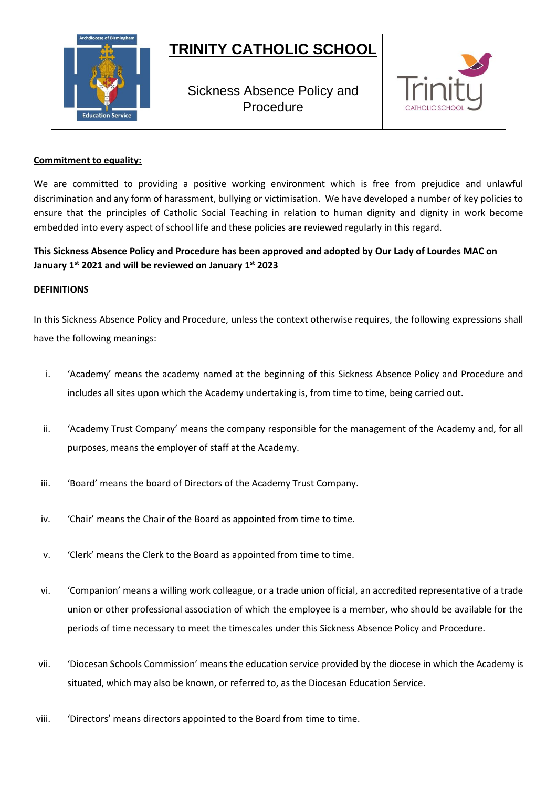# **TRINITY CATHOLIC SCHOOL**



Sickness Absence Policy and Procedure



## **Commitment to equality:**

We are committed to providing a positive working environment which is free from prejudice and unlawful discrimination and any form of harassment, bullying or victimisation. We have developed a number of key policies to ensure that the principles of Catholic Social Teaching in relation to human dignity and dignity in work become embedded into every aspect of school life and these policies are reviewed regularly in this regard.

# **This Sickness Absence Policy and Procedure has been approved and adopted by Our Lady of Lourdes MAC on January 1st 2021 and will be reviewed on January 1st 2023**

#### **DEFINITIONS**

In this Sickness Absence Policy and Procedure, unless the context otherwise requires, the following expressions shall have the following meanings:

- i. 'Academy' means the academy named at the beginning of this Sickness Absence Policy and Procedure and includes all sites upon which the Academy undertaking is, from time to time, being carried out.
- ii. 'Academy Trust Company' means the company responsible for the management of the Academy and, for all purposes, means the employer of staff at the Academy.
- iii. 'Board' means the board of Directors of the Academy Trust Company.
- iv. 'Chair' means the Chair of the Board as appointed from time to time.
- v. 'Clerk' means the Clerk to the Board as appointed from time to time.
- vi. 'Companion' means a willing work colleague, or a trade union official, an accredited representative of a trade union or other professional association of which the employee is a member, who should be available for the periods of time necessary to meet the timescales under this Sickness Absence Policy and Procedure.
- vii. 'Diocesan Schools Commission' means the education service provided by the diocese in which the Academy is situated, which may also be known, or referred to, as the Diocesan Education Service.
- viii. 'Directors' means directors appointed to the Board from time to time.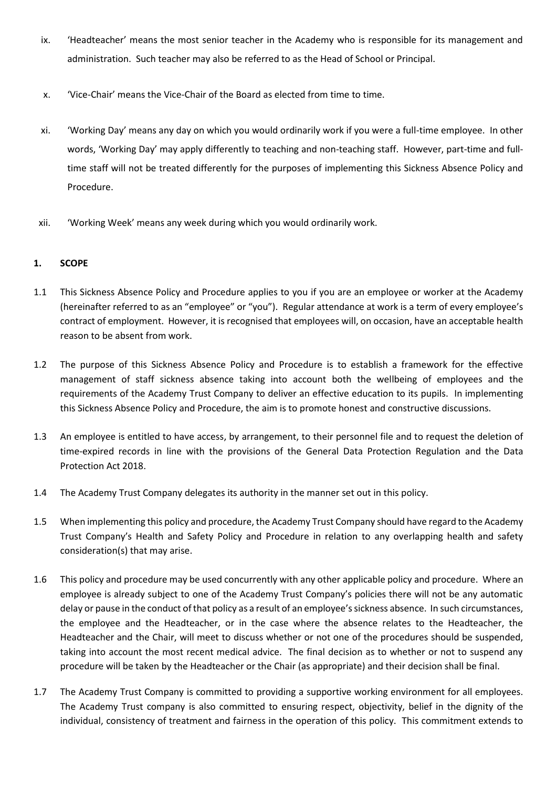- ix. 'Headteacher' means the most senior teacher in the Academy who is responsible for its management and administration. Such teacher may also be referred to as the Head of School or Principal.
- x. 'Vice-Chair' means the Vice-Chair of the Board as elected from time to time.
- xi. 'Working Day' means any day on which you would ordinarily work if you were a full-time employee. In other words, 'Working Day' may apply differently to teaching and non-teaching staff. However, part-time and fulltime staff will not be treated differently for the purposes of implementing this Sickness Absence Policy and Procedure.
- xii. 'Working Week' means any week during which you would ordinarily work.

# **1. SCOPE**

- 1.1 This Sickness Absence Policy and Procedure applies to you if you are an employee or worker at the Academy (hereinafter referred to as an "employee" or "you"). Regular attendance at work is a term of every employee's contract of employment. However, it is recognised that employees will, on occasion, have an acceptable health reason to be absent from work.
- 1.2 The purpose of this Sickness Absence Policy and Procedure is to establish a framework for the effective management of staff sickness absence taking into account both the wellbeing of employees and the requirements of the Academy Trust Company to deliver an effective education to its pupils. In implementing this Sickness Absence Policy and Procedure, the aim is to promote honest and constructive discussions.
- 1.3 An employee is entitled to have access, by arrangement, to their personnel file and to request the deletion of time-expired records in line with the provisions of the General Data Protection Regulation and the Data Protection Act 2018.
- 1.4 The Academy Trust Company delegates its authority in the manner set out in this policy.
- 1.5 When implementing this policy and procedure, the Academy Trust Company should have regard to the Academy Trust Company's Health and Safety Policy and Procedure in relation to any overlapping health and safety consideration(s) that may arise.
- 1.6 This policy and procedure may be used concurrently with any other applicable policy and procedure. Where an employee is already subject to one of the Academy Trust Company's policies there will not be any automatic delay or pause in the conduct of that policy as a result of an employee's sickness absence. In such circumstances, the employee and the Headteacher, or in the case where the absence relates to the Headteacher, the Headteacher and the Chair, will meet to discuss whether or not one of the procedures should be suspended, taking into account the most recent medical advice. The final decision as to whether or not to suspend any procedure will be taken by the Headteacher or the Chair (as appropriate) and their decision shall be final.
- 1.7 The Academy Trust Company is committed to providing a supportive working environment for all employees. The Academy Trust company is also committed to ensuring respect, objectivity, belief in the dignity of the individual, consistency of treatment and fairness in the operation of this policy. This commitment extends to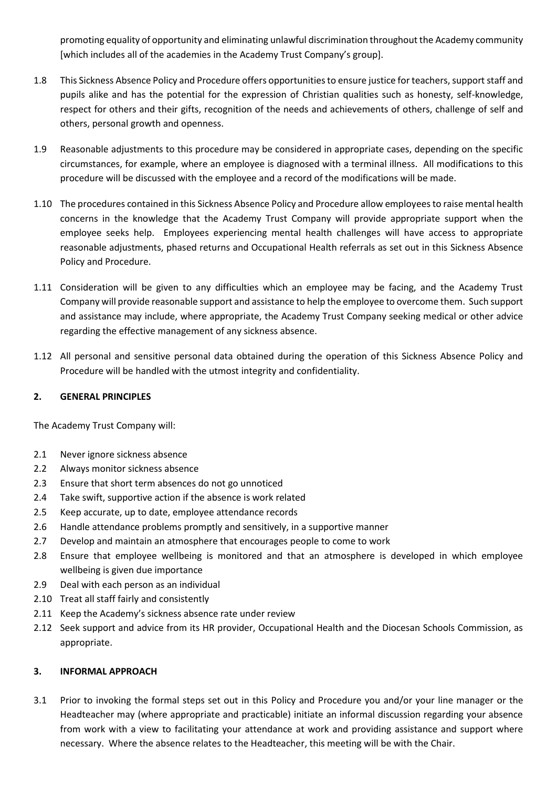promoting equality of opportunity and eliminating unlawful discrimination throughout the Academy community [which includes all of the academies in the Academy Trust Company's group].

- 1.8 This Sickness Absence Policy and Procedure offers opportunities to ensure justice for teachers, support staff and pupils alike and has the potential for the expression of Christian qualities such as honesty, self-knowledge, respect for others and their gifts, recognition of the needs and achievements of others, challenge of self and others, personal growth and openness.
- 1.9 Reasonable adjustments to this procedure may be considered in appropriate cases, depending on the specific circumstances, for example, where an employee is diagnosed with a terminal illness. All modifications to this procedure will be discussed with the employee and a record of the modifications will be made.
- 1.10 The procedures contained in this Sickness Absence Policy and Procedure allow employees to raise mental health concerns in the knowledge that the Academy Trust Company will provide appropriate support when the employee seeks help. Employees experiencing mental health challenges will have access to appropriate reasonable adjustments, phased returns and Occupational Health referrals as set out in this Sickness Absence Policy and Procedure.
- 1.11 Consideration will be given to any difficulties which an employee may be facing, and the Academy Trust Company will provide reasonable support and assistance to help the employee to overcome them. Such support and assistance may include, where appropriate, the Academy Trust Company seeking medical or other advice regarding the effective management of any sickness absence.
- 1.12 All personal and sensitive personal data obtained during the operation of this Sickness Absence Policy and Procedure will be handled with the utmost integrity and confidentiality.

# **2. GENERAL PRINCIPLES**

The Academy Trust Company will:

- 2.1 Never ignore sickness absence
- 2.2 Always monitor sickness absence
- 2.3 Ensure that short term absences do not go unnoticed
- 2.4 Take swift, supportive action if the absence is work related
- 2.5 Keep accurate, up to date, employee attendance records
- 2.6 Handle attendance problems promptly and sensitively, in a supportive manner
- 2.7 Develop and maintain an atmosphere that encourages people to come to work
- 2.8 Ensure that employee wellbeing is monitored and that an atmosphere is developed in which employee wellbeing is given due importance
- 2.9 Deal with each person as an individual
- 2.10 Treat all staff fairly and consistently
- 2.11 Keep the Academy's sickness absence rate under review
- 2.12 Seek support and advice from its HR provider, Occupational Health and the Diocesan Schools Commission, as appropriate.

### **3. INFORMAL APPROACH**

3.1 Prior to invoking the formal steps set out in this Policy and Procedure you and/or your line manager or the Headteacher may (where appropriate and practicable) initiate an informal discussion regarding your absence from work with a view to facilitating your attendance at work and providing assistance and support where necessary. Where the absence relates to the Headteacher, this meeting will be with the Chair.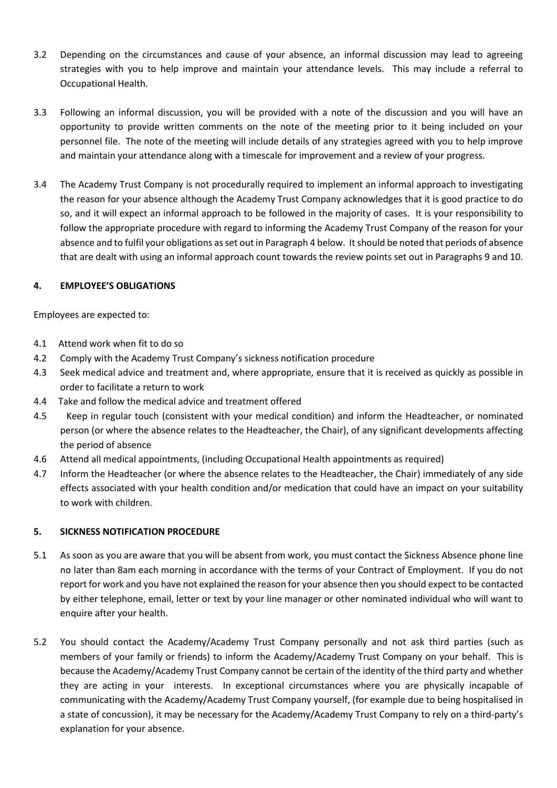- 3.2 Depending on the circumstances and cause of your absence, an informal discussion may lead to agreeing strategies with you to help improve and maintain your attendance levels. This may include a referral to Occupational Health.
- 3.3 Following an informal discussion, you will be provided with a note of the discussion and you will have an opportunity to provide written comments on the note of the meeting prior to it being included on your personnel file. The note of the meeting will include details of any strategies agreed with you to help improve and maintain your attendance along with a timescale for improvement and a review of your progress.
- 3.4 The Academy Trust Company is not procedurally required to implement an informal approach to investigating the reason for your absence although the Academy Trust Company acknowledges that it is good practice to do so, and it will expect an informal approach to be followed in the majority of cases. It is your responsibility to follow the appropriate procedure with regard to informing the Academy Trust Company of the reason for your absence and to fulfil your obligations as set out in Paragraph 4 below. It should be noted that periods of absence that are dealt with using an informal approach count towards the review points set out in Paragraphs 9 and 10.

## **4. EMPLOYEE'S OBLIGATIONS**

Employees are expected to:

- 4.1 Attend work when fit to do so
- 4.2 Comply with the Academy Trust Company's sickness notification procedure
- 4.3 Seek medical advice and treatment and, where appropriate, ensure that it is received as quickly as possible in order to facilitate a return to work
- 4.4 Take and follow the medical advice and treatment offered
- 4.5 Keep in regular touch (consistent with your medical condition) and inform the Headteacher, or nominated person (or where the absence relates to the Headteacher, the Chair), of any significant developments affecting the period of absence
- 4.6 Attend all medical appointments, (including Occupational Health appointments as required)
- 4.7 Inform the Headteacher (or where the absence relates to the Headteacher, the Chair) immediately of any side effects associated with your health condition and/or medication that could have an impact on your suitability to work with children.

#### **5. SICKNESS NOTIFICATION PROCEDURE**

- 5.1 As soon as you are aware that you will be absent from work, you must contact the Sickness Absence phone line no later than 8am each morning in accordance with the terms of your Contract of Employment. If you do not report for work and you have not explained the reason for your absence then you should expect to be contacted by either telephone, email, letter or text by your line manager or other nominated individual who will want to enquire after your health.
- 5.2 You should contact the Academy/Academy Trust Company personally and not ask third parties (such as members of your family or friends) to inform the Academy/Academy Trust Company on your behalf. This is because the Academy/Academy Trust Company cannot be certain of the identity of the third party and whether they are acting in your interests. In exceptional circumstances where you are physically incapable of communicating with the Academy/Academy Trust Company yourself, (for example due to being hospitalised in a state of concussion), it may be necessary for the Academy/Academy Trust Company to rely on a third-party's explanation for your absence.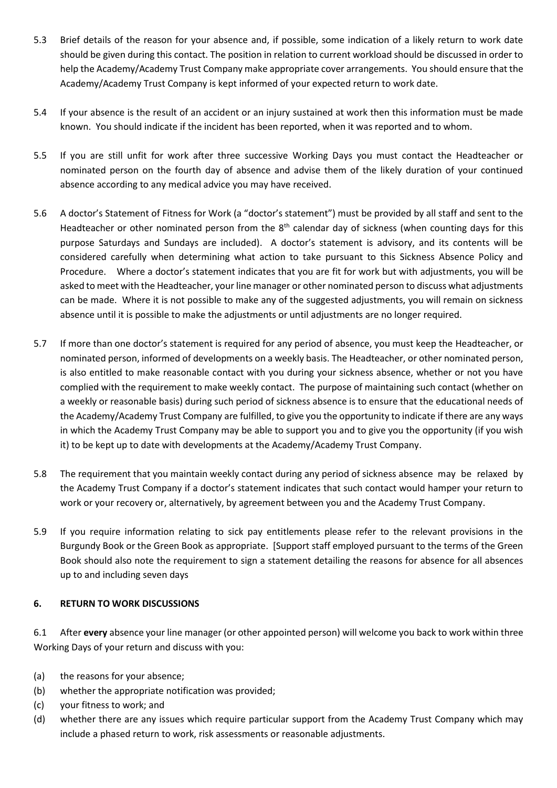- 5.3 Brief details of the reason for your absence and, if possible, some indication of a likely return to work date should be given during this contact. The position in relation to current workload should be discussed in order to help the Academy/Academy Trust Company make appropriate cover arrangements. You should ensure that the Academy/Academy Trust Company is kept informed of your expected return to work date.
- 5.4 If your absence is the result of an accident or an injury sustained at work then this information must be made known. You should indicate if the incident has been reported, when it was reported and to whom.
- 5.5 If you are still unfit for work after three successive Working Days you must contact the Headteacher or nominated person on the fourth day of absence and advise them of the likely duration of your continued absence according to any medical advice you may have received.
- 5.6 A doctor's Statement of Fitness for Work (a "doctor's statement") must be provided by all staff and sent to the Headteacher or other nominated person from the  $8<sup>th</sup>$  calendar day of sickness (when counting days for this purpose Saturdays and Sundays are included). A doctor's statement is advisory, and its contents will be considered carefully when determining what action to take pursuant to this Sickness Absence Policy and Procedure. Where a doctor's statement indicates that you are fit for work but with adjustments, you will be asked to meet with the Headteacher, your line manager or other nominated person to discuss what adjustments can be made. Where it is not possible to make any of the suggested adjustments, you will remain on sickness absence until it is possible to make the adjustments or until adjustments are no longer required.
- 5.7 If more than one doctor's statement is required for any period of absence, you must keep the Headteacher, or nominated person, informed of developments on a weekly basis. The Headteacher, or other nominated person, is also entitled to make reasonable contact with you during your sickness absence, whether or not you have complied with the requirement to make weekly contact. The purpose of maintaining such contact (whether on a weekly or reasonable basis) during such period of sickness absence is to ensure that the educational needs of the Academy/Academy Trust Company are fulfilled, to give you the opportunity to indicate if there are any ways in which the Academy Trust Company may be able to support you and to give you the opportunity (if you wish it) to be kept up to date with developments at the Academy/Academy Trust Company.
- 5.8 The requirement that you maintain weekly contact during any period of sickness absence may be relaxed by the Academy Trust Company if a doctor's statement indicates that such contact would hamper your return to work or your recovery or, alternatively, by agreement between you and the Academy Trust Company.
- 5.9 If you require information relating to sick pay entitlements please refer to the relevant provisions in the Burgundy Book or the Green Book as appropriate. [Support staff employed pursuant to the terms of the Green Book should also note the requirement to sign a statement detailing the reasons for absence for all absences up to and including seven days

# **6. RETURN TO WORK DISCUSSIONS**

6.1 After **every** absence your line manager (or other appointed person) will welcome you back to work within three Working Days of your return and discuss with you:

- (a) the reasons for your absence;
- (b) whether the appropriate notification was provided;
- (c) your fitness to work; and
- (d) whether there are any issues which require particular support from the Academy Trust Company which may include a phased return to work, risk assessments or reasonable adjustments.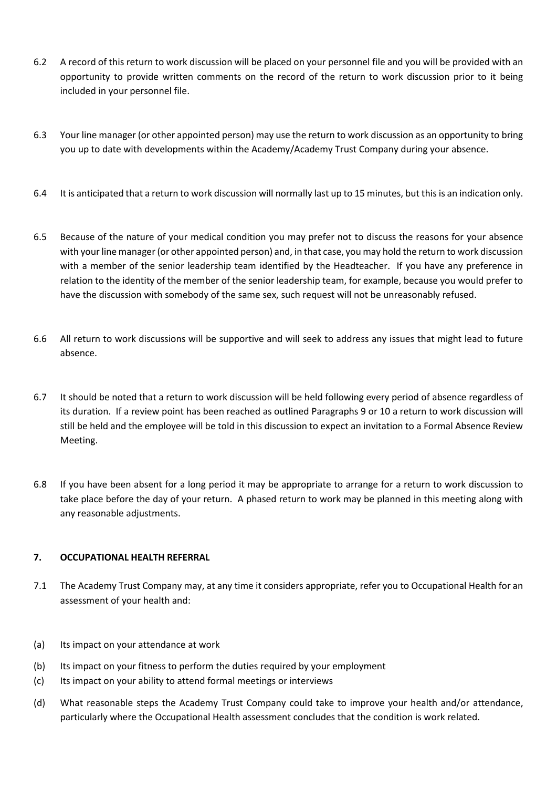- 6.2 A record of this return to work discussion will be placed on your personnel file and you will be provided with an opportunity to provide written comments on the record of the return to work discussion prior to it being included in your personnel file.
- 6.3 Your line manager (or other appointed person) may use the return to work discussion as an opportunity to bring you up to date with developments within the Academy/Academy Trust Company during your absence.
- 6.4 It is anticipated that a return to work discussion will normally last up to 15 minutes, but this is an indication only.
- 6.5 Because of the nature of your medical condition you may prefer not to discuss the reasons for your absence with your line manager (or other appointed person) and, in that case, you may hold the return to work discussion with a member of the senior leadership team identified by the Headteacher. If you have any preference in relation to the identity of the member of the senior leadership team, for example, because you would prefer to have the discussion with somebody of the same sex, such request will not be unreasonably refused.
- 6.6 All return to work discussions will be supportive and will seek to address any issues that might lead to future absence.
- 6.7 It should be noted that a return to work discussion will be held following every period of absence regardless of its duration. If a review point has been reached as outlined Paragraphs 9 or 10 a return to work discussion will still be held and the employee will be told in this discussion to expect an invitation to a Formal Absence Review Meeting.
- 6.8 If you have been absent for a long period it may be appropriate to arrange for a return to work discussion to take place before the day of your return. A phased return to work may be planned in this meeting along with any reasonable adjustments.

# **7. OCCUPATIONAL HEALTH REFERRAL**

- 7.1 The Academy Trust Company may, at any time it considers appropriate, refer you to Occupational Health for an assessment of your health and:
- (a) Its impact on your attendance at work
- (b) Its impact on your fitness to perform the duties required by your employment
- (c) Its impact on your ability to attend formal meetings or interviews
- (d) What reasonable steps the Academy Trust Company could take to improve your health and/or attendance, particularly where the Occupational Health assessment concludes that the condition is work related.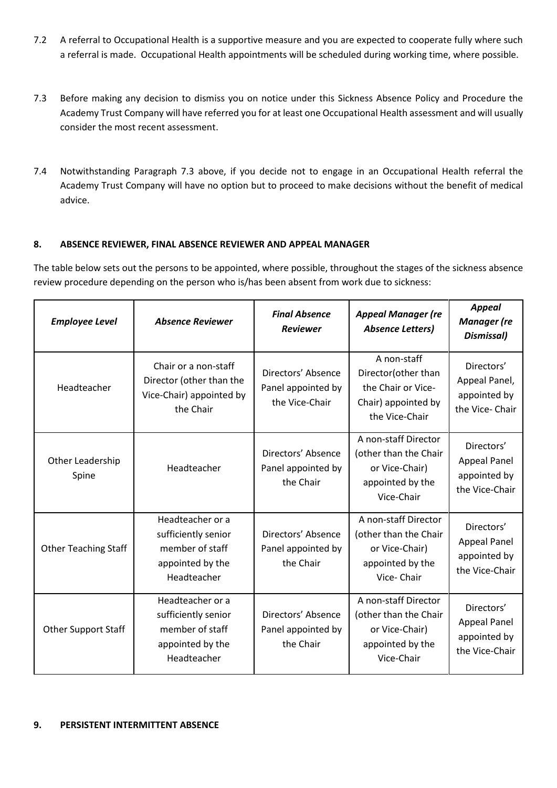- 7.2 A referral to Occupational Health is a supportive measure and you are expected to cooperate fully where such a referral is made. Occupational Health appointments will be scheduled during working time, where possible.
- 7.3 Before making any decision to dismiss you on notice under this Sickness Absence Policy and Procedure the Academy Trust Company will have referred you for at least one Occupational Health assessment and will usually consider the most recent assessment.
- 7.4 Notwithstanding Paragraph 7.3 above, if you decide not to engage in an Occupational Health referral the Academy Trust Company will have no option but to proceed to make decisions without the benefit of medical advice.

# **8. ABSENCE REVIEWER, FINAL ABSENCE REVIEWER AND APPEAL MANAGER**

The table below sets out the persons to be appointed, where possible, throughout the stages of the sickness absence review procedure depending on the person who is/has been absent from work due to sickness:

| <b>Employee Level</b>       | <b>Absence Reviewer</b>                                                                       | <b>Final Absence</b><br><b>Reviewer</b>                    | <b>Appeal Manager (re</b><br><b>Absence Letters)</b>                                              | <b>Appeal</b><br><b>Manager</b> (re<br>Dismissal)                   |
|-----------------------------|-----------------------------------------------------------------------------------------------|------------------------------------------------------------|---------------------------------------------------------------------------------------------------|---------------------------------------------------------------------|
| Headteacher                 | Chair or a non-staff<br>Director (other than the<br>Vice-Chair) appointed by<br>the Chair     | Directors' Absence<br>Panel appointed by<br>the Vice-Chair | A non-staff<br>Director(other than<br>the Chair or Vice-<br>Chair) appointed by<br>the Vice-Chair | Directors'<br>Appeal Panel,<br>appointed by<br>the Vice-Chair       |
| Other Leadership<br>Spine   | Headteacher                                                                                   | Directors' Absence<br>Panel appointed by<br>the Chair      | A non-staff Director<br>(other than the Chair<br>or Vice-Chair)<br>appointed by the<br>Vice-Chair | Directors'<br><b>Appeal Panel</b><br>appointed by<br>the Vice-Chair |
| <b>Other Teaching Staff</b> | Headteacher or a<br>sufficiently senior<br>member of staff<br>appointed by the<br>Headteacher | Directors' Absence<br>Panel appointed by<br>the Chair      | A non-staff Director<br>(other than the Chair<br>or Vice-Chair)<br>appointed by the<br>Vice-Chair | Directors'<br><b>Appeal Panel</b><br>appointed by<br>the Vice-Chair |
| <b>Other Support Staff</b>  | Headteacher or a<br>sufficiently senior<br>member of staff<br>appointed by the<br>Headteacher | Directors' Absence<br>Panel appointed by<br>the Chair      | A non-staff Director<br>(other than the Chair<br>or Vice-Chair)<br>appointed by the<br>Vice-Chair | Directors'<br><b>Appeal Panel</b><br>appointed by<br>the Vice-Chair |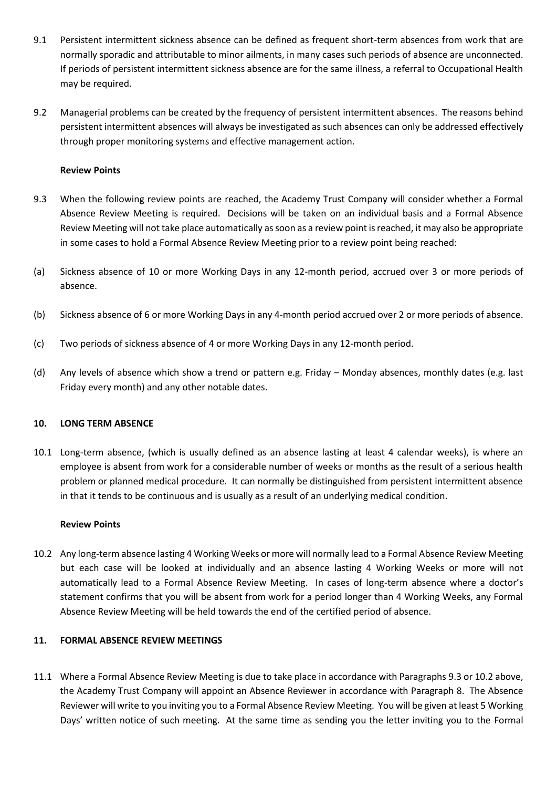- 9.1 Persistent intermittent sickness absence can be defined as frequent short-term absences from work that are normally sporadic and attributable to minor ailments, in many cases such periods of absence are unconnected. If periods of persistent intermittent sickness absence are for the same illness, a referral to Occupational Health may be required.
- 9.2 Managerial problems can be created by the frequency of persistent intermittent absences. The reasons behind persistent intermittent absences will always be investigated as such absences can only be addressed effectively through proper monitoring systems and effective management action.

## **Review Points**

- 9.3 When the following review points are reached, the Academy Trust Company will consider whether a Formal Absence Review Meeting is required. Decisions will be taken on an individual basis and a Formal Absence Review Meeting will not take place automatically as soon as a review point is reached, it may also be appropriate in some cases to hold a Formal Absence Review Meeting prior to a review point being reached:
- (a) Sickness absence of 10 or more Working Days in any 12-month period, accrued over 3 or more periods of absence.
- (b) Sickness absence of 6 or more Working Days in any 4-month period accrued over 2 or more periods of absence.
- (c) Two periods of sickness absence of 4 or more Working Days in any 12-month period.
- (d) Any levels of absence which show a trend or pattern e.g. Friday Monday absences, monthly dates (e.g. last Friday every month) and any other notable dates.

#### **10. LONG TERM ABSENCE**

10.1 Long-term absence, (which is usually defined as an absence lasting at least 4 calendar weeks), is where an employee is absent from work for a considerable number of weeks or months as the result of a serious health problem or planned medical procedure. It can normally be distinguished from persistent intermittent absence in that it tends to be continuous and is usually as a result of an underlying medical condition.

#### **Review Points**

10.2 Any long-term absence lasting 4 Working Weeks or more will normally lead to a Formal Absence Review Meeting but each case will be looked at individually and an absence lasting 4 Working Weeks or more will not automatically lead to a Formal Absence Review Meeting. In cases of long-term absence where a doctor's statement confirms that you will be absent from work for a period longer than 4 Working Weeks, any Formal Absence Review Meeting will be held towards the end of the certified period of absence.

## **11. FORMAL ABSENCE REVIEW MEETINGS**

11.1 Where a Formal Absence Review Meeting is due to take place in accordance with Paragraphs 9.3 or 10.2 above, the Academy Trust Company will appoint an Absence Reviewer in accordance with Paragraph 8. The Absence Reviewer will write to you inviting you to a Formal Absence Review Meeting. You will be given at least 5 Working Days' written notice of such meeting. At the same time as sending you the letter inviting you to the Formal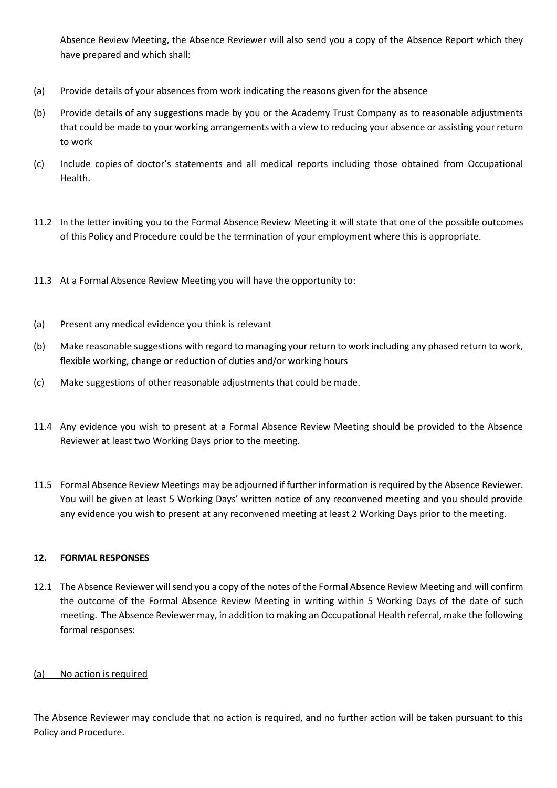Absence Review Meeting, the Absence Reviewer will also send you a copy of the Absence Report which they have prepared and which shall:

- (a) Provide details of your absences from work indicating the reasons given for the absence
- (b) Provide details of any suggestions made by you or the Academy Trust Company as to reasonable adjustments that could be made to your working arrangements with a view to reducing your absence or assisting your return to work
- (c) Include copies of doctor's statements and all medical reports including those obtained from Occupational Health.
- 11.2 In the letter inviting you to the Formal Absence Review Meeting it will state that one of the possible outcomes of this Policy and Procedure could be the termination of your employment where this is appropriate.
- 11.3 At a Formal Absence Review Meeting you will have the opportunity to:
- (a) Present any medical evidence you think is relevant
- (b) Make reasonable suggestions with regard to managing your return to work including any phased return to work, flexible working, change or reduction of duties and/or working hours
- (c) Make suggestions of other reasonable adjustments that could be made.
- 11.4 Any evidence you wish to present at a Formal Absence Review Meeting should be provided to the Absence Reviewer at least two Working Days prior to the meeting.
- 11.5 Formal Absence Review Meetings may be adjourned if further information is required by the Absence Reviewer. You will be given at least 5 Working Days' written notice of any reconvened meeting and you should provide any evidence you wish to present at any reconvened meeting at least 2 Working Days prior to the meeting.

# **12. FORMAL RESPONSES**

12.1 The Absence Reviewer will send you a copy of the notes of the Formal Absence Review Meeting and will confirm the outcome of the Formal Absence Review Meeting in writing within 5 Working Days of the date of such meeting. The Absence Reviewer may, in addition to making an Occupational Health referral, make the following formal responses:

# (a) No action is required

The Absence Reviewer may conclude that no action is required, and no further action will be taken pursuant to this Policy and Procedure.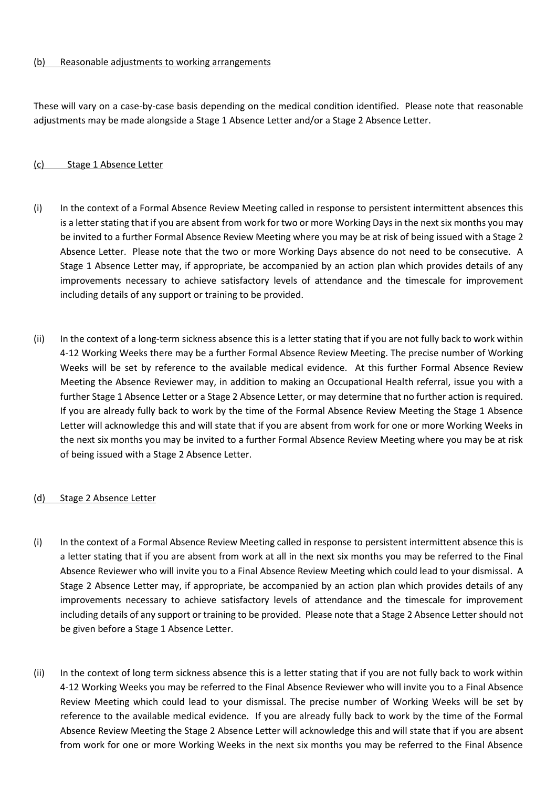## (b) Reasonable adjustments to working arrangements

These will vary on a case-by-case basis depending on the medical condition identified. Please note that reasonable adjustments may be made alongside a Stage 1 Absence Letter and/or a Stage 2 Absence Letter.

## (c) Stage 1 Absence Letter

- (i) In the context of a Formal Absence Review Meeting called in response to persistent intermittent absences this is a letter stating that if you are absent from work for two or more Working Days in the next six months you may be invited to a further Formal Absence Review Meeting where you may be at risk of being issued with a Stage 2 Absence Letter. Please note that the two or more Working Days absence do not need to be consecutive. A Stage 1 Absence Letter may, if appropriate, be accompanied by an action plan which provides details of any improvements necessary to achieve satisfactory levels of attendance and the timescale for improvement including details of any support or training to be provided.
- (ii) In the context of a long-term sickness absence this is a letter stating that if you are not fully back to work within 4-12 Working Weeks there may be a further Formal Absence Review Meeting. The precise number of Working Weeks will be set by reference to the available medical evidence. At this further Formal Absence Review Meeting the Absence Reviewer may, in addition to making an Occupational Health referral, issue you with a further Stage 1 Absence Letter or a Stage 2 Absence Letter, or may determine that no further action is required. If you are already fully back to work by the time of the Formal Absence Review Meeting the Stage 1 Absence Letter will acknowledge this and will state that if you are absent from work for one or more Working Weeks in the next six months you may be invited to a further Formal Absence Review Meeting where you may be at risk of being issued with a Stage 2 Absence Letter.

#### (d) Stage 2 Absence Letter

- (i) In the context of a Formal Absence Review Meeting called in response to persistent intermittent absence this is a letter stating that if you are absent from work at all in the next six months you may be referred to the Final Absence Reviewer who will invite you to a Final Absence Review Meeting which could lead to your dismissal. A Stage 2 Absence Letter may, if appropriate, be accompanied by an action plan which provides details of any improvements necessary to achieve satisfactory levels of attendance and the timescale for improvement including details of any support or training to be provided. Please note that a Stage 2 Absence Letter should not be given before a Stage 1 Absence Letter.
- (ii) In the context of long term sickness absence this is a letter stating that if you are not fully back to work within 4-12 Working Weeks you may be referred to the Final Absence Reviewer who will invite you to a Final Absence Review Meeting which could lead to your dismissal. The precise number of Working Weeks will be set by reference to the available medical evidence. If you are already fully back to work by the time of the Formal Absence Review Meeting the Stage 2 Absence Letter will acknowledge this and will state that if you are absent from work for one or more Working Weeks in the next six months you may be referred to the Final Absence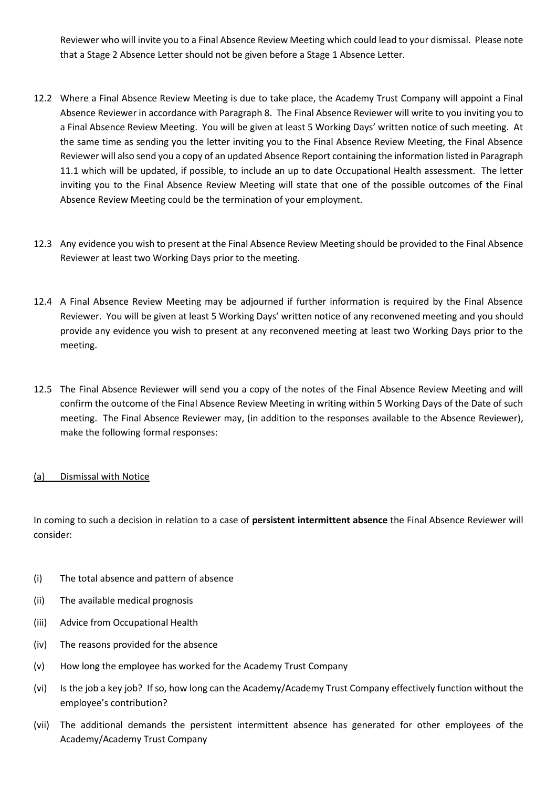Reviewer who will invite you to a Final Absence Review Meeting which could lead to your dismissal. Please note that a Stage 2 Absence Letter should not be given before a Stage 1 Absence Letter.

- 12.2 Where a Final Absence Review Meeting is due to take place, the Academy Trust Company will appoint a Final Absence Reviewer in accordance with Paragraph 8. The Final Absence Reviewer will write to you inviting you to a Final Absence Review Meeting. You will be given at least 5 Working Days' written notice of such meeting. At the same time as sending you the letter inviting you to the Final Absence Review Meeting, the Final Absence Reviewer will also send you a copy of an updated Absence Report containing the information listed in Paragraph 11.1 which will be updated, if possible, to include an up to date Occupational Health assessment. The letter inviting you to the Final Absence Review Meeting will state that one of the possible outcomes of the Final Absence Review Meeting could be the termination of your employment.
- 12.3 Any evidence you wish to present at the Final Absence Review Meeting should be provided to the Final Absence Reviewer at least two Working Days prior to the meeting.
- 12.4 A Final Absence Review Meeting may be adjourned if further information is required by the Final Absence Reviewer. You will be given at least 5 Working Days' written notice of any reconvened meeting and you should provide any evidence you wish to present at any reconvened meeting at least two Working Days prior to the meeting.
- 12.5 The Final Absence Reviewer will send you a copy of the notes of the Final Absence Review Meeting and will confirm the outcome of the Final Absence Review Meeting in writing within 5 Working Days of the Date of such meeting. The Final Absence Reviewer may, (in addition to the responses available to the Absence Reviewer), make the following formal responses:

# (a) Dismissal with Notice

In coming to such a decision in relation to a case of **persistent intermittent absence** the Final Absence Reviewer will consider:

- (i) The total absence and pattern of absence
- (ii) The available medical prognosis
- (iii) Advice from Occupational Health
- (iv) The reasons provided for the absence
- (v) How long the employee has worked for the Academy Trust Company
- (vi) Is the job a key job? If so, how long can the Academy/Academy Trust Company effectively function without the employee's contribution?
- (vii) The additional demands the persistent intermittent absence has generated for other employees of the Academy/Academy Trust Company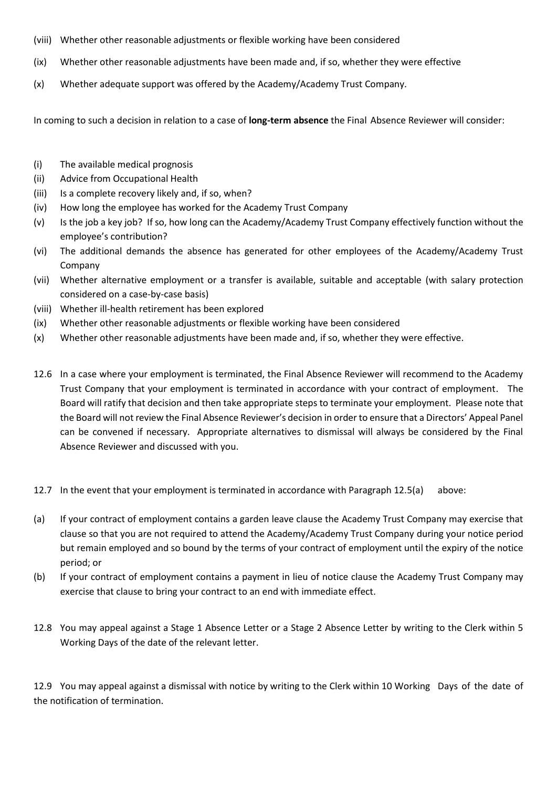- (viii) Whether other reasonable adjustments or flexible working have been considered
- (ix) Whether other reasonable adjustments have been made and, if so, whether they were effective
- (x) Whether adequate support was offered by the Academy/Academy Trust Company.

In coming to such a decision in relation to a case of **long-term absence** the Final Absence Reviewer will consider:

- (i) The available medical prognosis
- (ii) Advice from Occupational Health
- (iii) Is a complete recovery likely and, if so, when?
- (iv) How long the employee has worked for the Academy Trust Company
- (v) Is the job a key job? If so, how long can the Academy/Academy Trust Company effectively function without the employee's contribution?
- (vi) The additional demands the absence has generated for other employees of the Academy/Academy Trust Company
- (vii) Whether alternative employment or a transfer is available, suitable and acceptable (with salary protection considered on a case-by-case basis)
- (viii) Whether ill-health retirement has been explored
- (ix) Whether other reasonable adjustments or flexible working have been considered
- (x) Whether other reasonable adjustments have been made and, if so, whether they were effective.
- 12.6 In a case where your employment is terminated, the Final Absence Reviewer will recommend to the Academy Trust Company that your employment is terminated in accordance with your contract of employment. The Board will ratify that decision and then take appropriate steps to terminate your employment. Please note that the Board will not review the Final Absence Reviewer's decision in order to ensure that a Directors' Appeal Panel can be convened if necessary. Appropriate alternatives to dismissal will always be considered by the Final Absence Reviewer and discussed with you.
- 12.7 In the event that your employment is terminated in accordance with Paragraph 12.5(a) above:
- (a) If your contract of employment contains a garden leave clause the Academy Trust Company may exercise that clause so that you are not required to attend the Academy/Academy Trust Company during your notice period but remain employed and so bound by the terms of your contract of employment until the expiry of the notice period; or
- (b) If your contract of employment contains a payment in lieu of notice clause the Academy Trust Company may exercise that clause to bring your contract to an end with immediate effect.
- 12.8 You may appeal against a Stage 1 Absence Letter or a Stage 2 Absence Letter by writing to the Clerk within 5 Working Days of the date of the relevant letter.

12.9 You may appeal against a dismissal with notice by writing to the Clerk within 10 Working Days of the date of the notification of termination.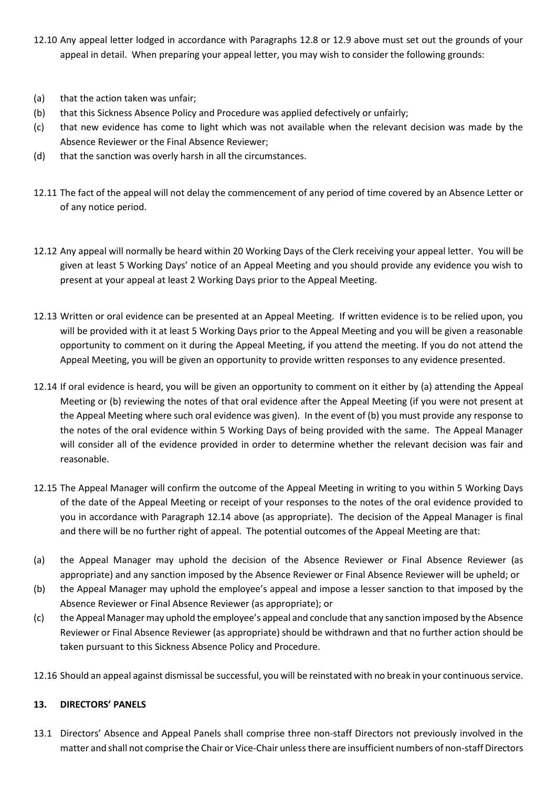- 12.10 Any appeal letter lodged in accordance with Paragraphs 12.8 or 12.9 above must set out the grounds of your appeal in detail. When preparing your appeal letter, you may wish to consider the following grounds:
- (a) that the action taken was unfair;
- (b) that this Sickness Absence Policy and Procedure was applied defectively or unfairly;
- (c) that new evidence has come to light which was not available when the relevant decision was made by the Absence Reviewer or the Final Absence Reviewer;
- (d) that the sanction was overly harsh in all the circumstances.
- 12.11 The fact of the appeal will not delay the commencement of any period of time covered by an Absence Letter or of any notice period.
- 12.12 Any appeal will normally be heard within 20 Working Days of the Clerk receiving your appeal letter. You will be given at least 5 Working Days' notice of an Appeal Meeting and you should provide any evidence you wish to present at your appeal at least 2 Working Days prior to the Appeal Meeting.
- 12.13 Written or oral evidence can be presented at an Appeal Meeting. If written evidence is to be relied upon, you will be provided with it at least 5 Working Days prior to the Appeal Meeting and you will be given a reasonable opportunity to comment on it during the Appeal Meeting, if you attend the meeting. If you do not attend the Appeal Meeting, you will be given an opportunity to provide written responses to any evidence presented.
- 12.14 If oral evidence is heard, you will be given an opportunity to comment on it either by (a) attending the Appeal Meeting or (b) reviewing the notes of that oral evidence after the Appeal Meeting (if you were not present at the Appeal Meeting where such oral evidence was given). In the event of (b) you must provide any response to the notes of the oral evidence within 5 Working Days of being provided with the same. The Appeal Manager will consider all of the evidence provided in order to determine whether the relevant decision was fair and reasonable.
- 12.15 The Appeal Manager will confirm the outcome of the Appeal Meeting in writing to you within 5 Working Days of the date of the Appeal Meeting or receipt of your responses to the notes of the oral evidence provided to you in accordance with Paragraph 12.14 above (as appropriate). The decision of the Appeal Manager is final and there will be no further right of appeal. The potential outcomes of the Appeal Meeting are that:
- (a) the Appeal Manager may uphold the decision of the Absence Reviewer or Final Absence Reviewer (as appropriate) and any sanction imposed by the Absence Reviewer or Final Absence Reviewer will be upheld; or
- (b) the Appeal Manager may uphold the employee's appeal and impose a lesser sanction to that imposed by the Absence Reviewer or Final Absence Reviewer (as appropriate); or
- (c) the Appeal Manager may uphold the employee's appeal and conclude that any sanction imposed by the Absence Reviewer or Final Absence Reviewer (as appropriate) should be withdrawn and that no further action should be taken pursuant to this Sickness Absence Policy and Procedure.
- 12.16 Should an appeal against dismissal be successful, you will be reinstated with no break in your continuous service.

# **13. DIRECTORS' PANELS**

13.1 Directors' Absence and Appeal Panels shall comprise three non-staff Directors not previously involved in the matter and shall not comprise the Chair or Vice-Chair unless there are insufficient numbers of non-staff Directors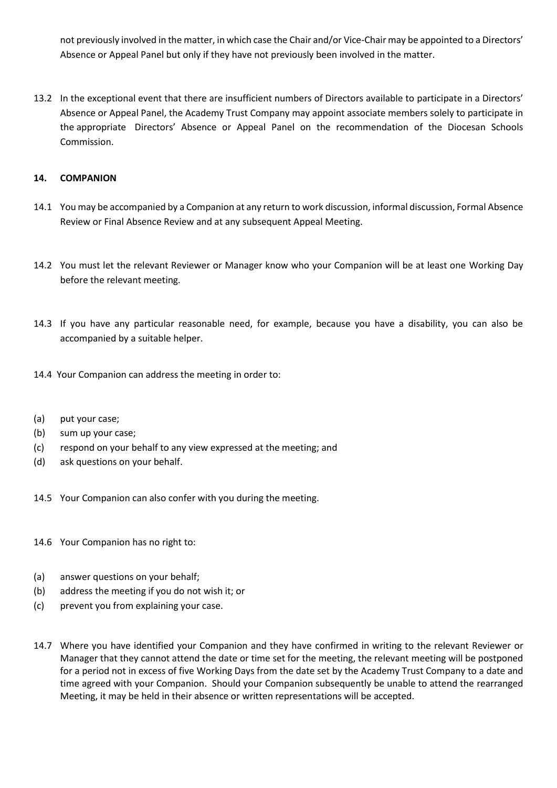not previously involved in the matter, in which case the Chair and/or Vice-Chair may be appointed to a Directors' Absence or Appeal Panel but only if they have not previously been involved in the matter.

13.2 In the exceptional event that there are insufficient numbers of Directors available to participate in a Directors' Absence or Appeal Panel, the Academy Trust Company may appoint associate members solely to participate in the appropriate Directors' Absence or Appeal Panel on the recommendation of the Diocesan Schools Commission.

## **14. COMPANION**

- 14.1 You may be accompanied by a Companion at any return to work discussion, informal discussion, Formal Absence Review or Final Absence Review and at any subsequent Appeal Meeting.
- 14.2 You must let the relevant Reviewer or Manager know who your Companion will be at least one Working Day before the relevant meeting.
- 14.3 If you have any particular reasonable need, for example, because you have a disability, you can also be accompanied by a suitable helper.
- 14.4 Your Companion can address the meeting in order to:
- (a) put your case;
- (b) sum up your case;
- (c) respond on your behalf to any view expressed at the meeting; and
- (d) ask questions on your behalf.
- 14.5 Your Companion can also confer with you during the meeting.
- 14.6 Your Companion has no right to:
- (a) answer questions on your behalf;
- (b) address the meeting if you do not wish it; or
- (c) prevent you from explaining your case.
- 14.7 Where you have identified your Companion and they have confirmed in writing to the relevant Reviewer or Manager that they cannot attend the date or time set for the meeting, the relevant meeting will be postponed for a period not in excess of five Working Days from the date set by the Academy Trust Company to a date and time agreed with your Companion. Should your Companion subsequently be unable to attend the rearranged Meeting, it may be held in their absence or written representations will be accepted.